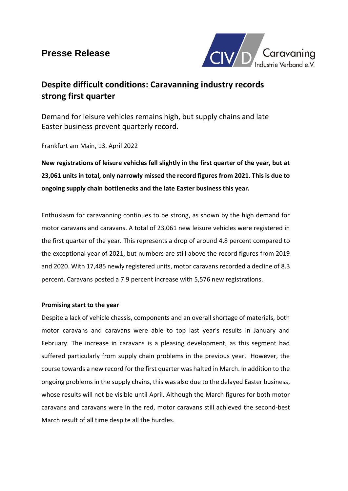## **Presse Release**



# **Despite difficult conditions: Caravanning industry records strong first quarter**

Demand for leisure vehicles remains high, but supply chains and late Easter business prevent quarterly record.

Frankfurt am Main, 13. April 2022

**New registrations of leisure vehicles fell slightly in the first quarter of the year, but at 23,061 units in total, only narrowly missed the record figures from 2021. This is due to ongoing supply chain bottlenecks and the late Easter business this year.** 

Enthusiasm for caravanning continues to be strong, as shown by the high demand for motor caravans and caravans. A total of 23,061 new leisure vehicles were registered in the first quarter of the year. This represents a drop of around 4.8 percent compared to the exceptional year of 2021, but numbers are still above the record figures from 2019 and 2020. With 17,485 newly registered units, motor caravans recorded a decline of 8.3 percent. Caravans posted a 7.9 percent increase with 5,576 new registrations.

## **Promising start to the year**

Despite a lack of vehicle chassis, components and an overall shortage of materials, both motor caravans and caravans were able to top last year's results in January and February. The increase in caravans is a pleasing development, as this segment had suffered particularly from supply chain problems in the previous year. However, the course towards a new record for the first quarter was halted in March. In addition to the ongoing problems in the supply chains, this was also due to the delayed Easter business, whose results will not be visible until April. Although the March figures for both motor caravans and caravans were in the red, motor caravans still achieved the second-best March result of all time despite all the hurdles.